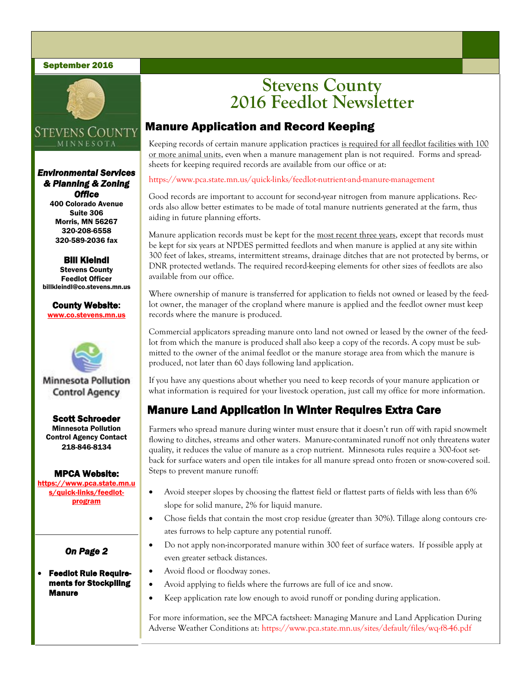### September 2016



# **STEVENS COUNTY** MINNESOTA

*Environmental Services & Planning & Zoning Office* 

400 Colorado Avenue Suite 306 Morris, MN 56267 320-208-6558 320-589-2036 fax

Bill Kleindl Stevens County Feedlot Officer billkleindl@co.stevens.mn.us

County Website: www.co.stevens.mn.us



# **Minnesota Pollution Control Agency**

Scott Schroeder Minnesota Pollution Control Agency Contact 218-846-8134

### MPCA Website:

https://www.pca.state.mn.u s/quick-links/feedlotprogram

# *On Page 2*

### Feedlot Rule Requirements for Stockpiling Manure

# **Stevens County 2016 Feedlot Newsletter**

# Manure Application and Record Keeping

Keeping records of certain manure application practices is required for all feedlot facilities with 100 or more animal units, even when a manure management plan is not required. Forms and spreadsheets for keeping required records are available from our office or at:

### https://www.pca.state.mn.us/quick-links/feedlot-nutrient-and-manure-management

Good records are important to account for second-year nitrogen from manure applications. Records also allow better estimates to be made of total manure nutrients generated at the farm, thus aiding in future planning efforts.

Manure application records must be kept for the most recent three years, except that records must be kept for six years at NPDES permitted feedlots and when manure is applied at any site within 300 feet of lakes, streams, intermittent streams, drainage ditches that are not protected by berms, or DNR protected wetlands. The required record-keeping elements for other sizes of feedlots are also available from our office.

Where ownership of manure is transferred for application to fields not owned or leased by the feedlot owner, the manager of the cropland where manure is applied and the feedlot owner must keep records where the manure is produced.

Commercial applicators spreading manure onto land not owned or leased by the owner of the feedlot from which the manure is produced shall also keep a copy of the records. A copy must be submitted to the owner of the animal feedlot or the manure storage area from which the manure is produced, not later than 60 days following land application.

If you have any questions about whether you need to keep records of your manure application or what information is required for your livestock operation, just call my office for more information.

# Manure Land Application in Winter Requires Extra Care

Farmers who spread manure during winter must ensure that it doesn't run off with rapid snowmelt flowing to ditches, streams and other waters. Manure-contaminated runoff not only threatens water quality, it reduces the value of manure as a crop nutrient. Minnesota rules require a 300-foot setback for surface waters and open tile intakes for all manure spread onto frozen or snow-covered soil. Steps to prevent manure runoff:

- Avoid steeper slopes by choosing the flattest field or flattest parts of fields with less than 6% slope for solid manure, 2% for liquid manure.
- Chose fields that contain the most crop residue (greater than 30%). Tillage along contours creates furrows to help capture any potential runoff.
- Do not apply non-incorporated manure within 300 feet of surface waters. If possible apply at even greater setback distances.
- Avoid flood or floodway zones.
- Avoid applying to fields where the furrows are full of ice and snow.
- Keep application rate low enough to avoid runoff or ponding during application.

For more information, see the MPCA factsheet: Managing Manure and Land Application During Adverse Weather Conditions at: https://www.pca.state.mn.us/sites/default/files/wq-f8-46.pdf